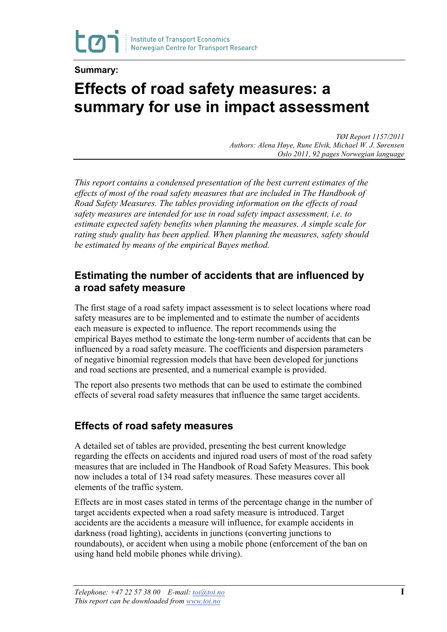

#### **Summary:**

# **Effects of road safety measures: a summary for use in impact assessment**

*TØI Report 1157/2011 Authors: Alena Høye, Rune Elvik, Michael W. J. Sørensen Oslo 2011, 92 pages Norwegian language*

*This report contains a condensed presentation of the best current estimates of the effects of most of the road safety measures that are included in The Handbook of Road Safety Measures. The tables providing information on the effects of road safety measures are intended for use in road safety impact assessment, i.e. to estimate expected safety benefits when planning the measures. A simple scale for rating study quality has been applied. When planning the measures, safety should be estimated by means of the empirical Bayes method.*

### **Estimating the number of accidents that are influenced by a road safety measure**

The first stage of a road safety impact assessment is to select locations where road safety measures are to be implemented and to estimate the number of accidents each measure is expected to influence. The report recommends using the empirical Bayes method to estimate the long-term number of accidents that can be influenced by a road safety measure. The coefficients and dispersion parameters of negative binomial regression models that have been developed for junctions and road sections are presented, and a numerical example is provided.

The report also presents two methods that can be used to estimate the combined effects of several road safety measures that influence the same target accidents.

#### **Effects of road safety measures**

A detailed set of tables are provided, presenting the best current knowledge regarding the effects on accidents and injured road users of most of the road safety measures that are included in The Handbook of Road Safety Measures. This book now includes a total of 134 road safety measures. These measures cover all elements of the traffic system.

Effects are in most cases stated in terms of the percentage change in the number of target accidents expected when a road safety measure is introduced. Target accidents are the accidents a measure will influence, for example accidents in darkness (road lighting), accidents in junctions (converting junctions to roundabouts), or accident when using a mobile phone (enforcement of the ban on using hand held mobile phones while driving).